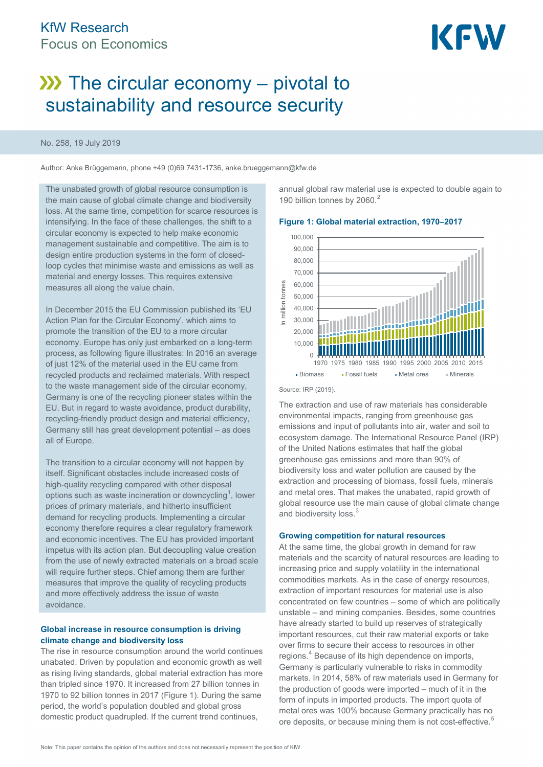

# $\lambda$ ) The circular economy – pivotal to sustainability and resource security

#### No. 258, 19 July 2019

Author: Anke Brüggemann, phone +49 (0)69 7431-1736, anke.brueggemann@kfw.de

The unabated growth of global resource consumption is the main cause of global climate change and biodiversity loss. At the same time, competition for scarce resources is intensifying. In the face of these challenges, the shift to a circular economy is expected to help make economic management sustainable and competitive. The aim is to design entire production systems in the form of closedloop cycles that minimise waste and emissions as well as material and energy losses. This requires extensive measures all along the value chain.

In December 2015 the EU Commission published its 'EU Action Plan for the Circular Economy', which aims to promote the transition of the EU to a more circular economy. Europe has only just embarked on a long-term process, as following figure illustrates: In 2016 an average of just 12% of the material used in the EU came from recycled products and reclaimed materials. With respect to the waste management side of the circular economy, Germany is one of the recycling pioneer states within the EU. But in regard to waste avoidance, product durability, recycling-friendly product design and material efficiency, Germany still has great development potential – as does all of Europe.

The transition to a circular economy will not happen by itself. Significant obstacles include increased costs of high-quality recycling compared with other disposal options such as waste incineration or downcycling<sup>[1](#page-4-0)</sup>, lower prices of primary materials, and hitherto insufficient demand for recycling products. Implementing a circular economy therefore requires a clear regulatory framework and economic incentives. The EU has provided important impetus with its action plan. But decoupling value creation from the use of newly extracted materials on a broad scale will require further steps. Chief among them are further measures that improve the quality of recycling products and more effectively address the issue of waste avoidance.

#### **Global increase in resource consumption is driving climate change and biodiversity loss**

The rise in resource consumption around the world continues unabated. Driven by population and economic growth as well as rising living standards, global material extraction has more than tripled since 1970. It increased from 27 billion tonnes in 1970 to 92 billion tonnes in 2017 (Figure 1). During the same period, the world's population doubled and global gross domestic product quadrupled. If the current trend continues,

annual global raw material use is expected to double again to 190 billion tonnes by [2](#page-4-1)060.<sup>2</sup>

#### 100,000 90,000 80,000 70,000 60,000 tonnes In million tonnes 50,000 n million 40,000 30,000 20,000 10,000  $\theta$ 1970 1975 1980 1985 1990 1995 2000 2005 2010 2015 • Biomass • Fossil fuels • Metal ores • Minerals

Source: IRP (2019).

The extraction and use of raw materials has considerable environmental impacts, ranging from greenhouse gas emissions and input of pollutants into air, water and soil to ecosystem damage. The International Resource Panel (IRP) of the United Nations estimates that half the global greenhouse gas emissions and more than 90% of biodiversity loss and water pollution are caused by the extraction and processing of biomass, fossil fuels, minerals and metal ores. That makes the unabated, rapid growth of global resource use the main cause of global climate change and biodiversity loss.<sup>[3](#page-4-2)</sup>

#### **Growing competition for natural resources**

At the same time, the global growth in demand for raw materials and the scarcity of natural resources are leading to increasing price and supply volatility in the international commodities markets. As in the case of energy resources, extraction of important resources for material use is also concentrated on few countries – some of which are politically unstable – and mining companies. Besides, some countries have already started to build up reserves of strategically important resources, cut their raw material exports or take over firms to secure their access to resources in other regions. [4](#page-4-3) Because of its high dependence on imports, Germany is particularly vulnerable to risks in commodity markets. In 2014, 58% of raw materials used in Germany for the production of goods were imported – much of it in the form of inputs in imported products. The import quota of metal ores was 100% because Germany practically has no ore deposits, or because mining them is not cost-effective.<sup>[5](#page-4-4)</sup>

#### **Figure 1: Global material extraction, 1970–2017**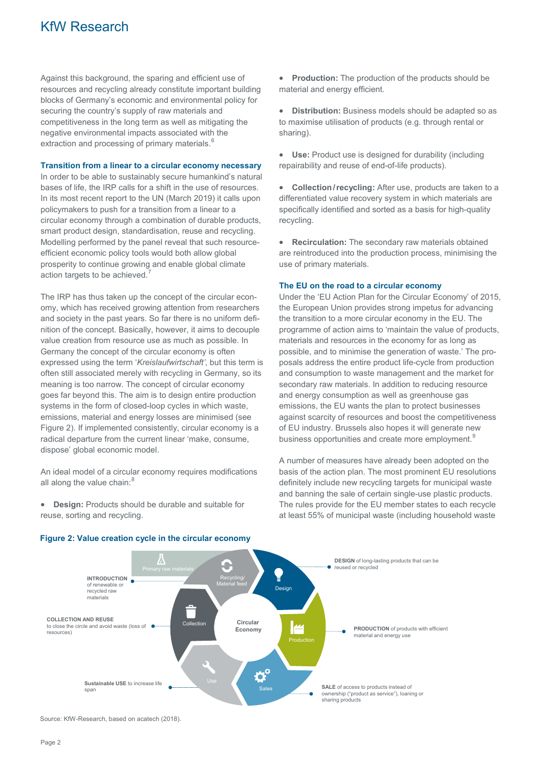### KfW Research

Against this background, the sparing and efficient use of resources and recycling already constitute important building blocks of Germany's economic and environmental policy for securing the country's supply of raw materials and competitiveness in the long term as well as mitigating the negative environmental impacts associated with the extraction and processing of primary materials.<sup>[6](#page-4-5)</sup>

#### **Transition from a linear to a circular economy necessary**

In order to be able to sustainably secure humankind's natural bases of life, the IRP calls for a shift in the use of resources. In its most recent report to the UN (March 2019) it calls upon policymakers to push for a transition from a linear to a circular economy through a combination of durable products, smart product design, standardisation, reuse and recycling. Modelling performed by the panel reveal that such resourceefficient economic policy tools would both allow global prosperity to continue growing and enable global climate action targets to be achieved.

The IRP has thus taken up the concept of the circular economy, which has received growing attention from researchers and society in the past years. So far there is no uniform definition of the concept. Basically, however, it aims to decouple value creation from resource use as much as possible. In Germany the concept of the circular economy is often expressed using the term '*Kreislaufwirtschaft'*, but this term is often still associated merely with recycling in Germany, so its meaning is too narrow. The concept of circular economy goes far beyond this. The aim is to design entire production systems in the form of closed-loop cycles in which waste, emissions, material and energy losses are minimised (see Figure 2). If implemented consistently, circular economy is a radical departure from the current linear 'make, consume, dispose' global economic model.

An ideal model of a circular economy requires modifications all along the value chain: $8$ 

• **Design:** Products should be durable and suitable for reuse, sorting and recycling.

• **Production:** The production of the products should be material and energy efficient.

• **Distribution:** Business models should be adapted so as to maximise utilisation of products (e.g. through rental or sharing).

• **Use:** Product use is designed for durability (including repairability and reuse of end-of-life products).

• **Collection/recycling:** After use, products are taken to a differentiated value recovery system in which materials are specifically identified and sorted as a basis for high-quality recycling.

• **Recirculation:** The secondary raw materials obtained are reintroduced into the production process, minimising the use of primary materials.

#### **The EU on the road to a circular economy**

Under the 'EU Action Plan for the Circular Economy' of 2015, the European Union provides strong impetus for advancing the transition to a more circular economy in the EU. The programme of action aims to 'maintain the value of products, materials and resources in the economy for as long as possible, and to minimise the generation of waste.' The proposals address the entire product life-cycle from production and consumption to waste management and the market for secondary raw materials. In addition to reducing resource and energy consumption as well as greenhouse gas emissions, the EU wants the plan to protect businesses against scarcity of resources and boost the competitiveness of EU industry. Brussels also hopes it will generate new business opportunities and create more employment.<sup>[9](#page-4-8)</sup>

A number of measures have already been adopted on the basis of the action plan. The most prominent EU resolutions definitely include new recycling targets for municipal waste and banning the sale of certain single-use plastic products. The rules provide for the EU member states to each recycle at least 55% of municipal waste (including household waste



#### **Figure 2: Value creation cycle in the circular economy**

Source: KfW-Research, based on acatech (2018).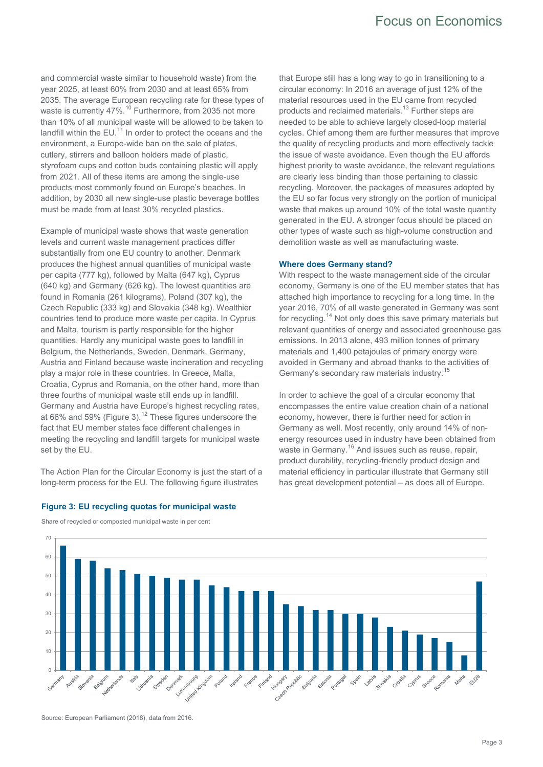and commercial waste similar to household waste) from the year 2025, at least 60% from 2030 and at least 65% from 2035. The average European recycling rate for these types of waste is currently 47%.<sup>[10](#page-4-9)</sup> Furthermore, from 2035 not more than 10% of all municipal waste will be allowed to be taken to landfill within the  $EU^{11}$  $EU^{11}$  $EU^{11}$  In order to protect the oceans and the environment, a Europe-wide ban on the sale of plates, cutlery, stirrers and balloon holders made of plastic, styrofoam cups and cotton buds containing plastic will apply from 2021. All of these items are among the single-use products most commonly found on Europe's beaches. In addition, by 2030 all new single-use plastic beverage bottles must be made from at least 30% recycled plastics.

Example of municipal waste shows that waste generation levels and current waste management practices differ substantially from one EU country to another. Denmark produces the highest annual quantities of municipal waste per capita (777 kg), followed by Malta (647 kg), Cyprus (640 kg) and Germany (626 kg). The lowest quantities are found in Romania (261 kilograms), Poland (307 kg), the Czech Republic (333 kg) and Slovakia (348 kg). Wealthier countries tend to produce more waste per capita. In Cyprus and Malta, tourism is partly responsible for the higher quantities. Hardly any municipal waste goes to landfill in Belgium, the Netherlands, Sweden, Denmark, Germany, Austria and Finland because waste incineration and recycling play a major role in these countries. In Greece, Malta, Croatia, Cyprus and Romania, on the other hand, more than three fourths of municipal waste still ends up in landfill. Germany and Austria have Europe's highest recycling rates, at 66% and 59% (Figure 3).<sup>[12](#page-4-11)</sup> These figures underscore the fact that EU member states face different challenges in meeting the recycling and landfill targets for municipal waste set by the EU.

The Action Plan for the Circular Economy is just the start of a long-term process for the EU. The following figure illustrates

that Europe still has a long way to go in transitioning to a circular economy: In 2016 an average of just 12% of the material resources used in the EU came from recycled products and reclaimed materials.<sup>[13](#page-4-12)</sup> Further steps are needed to be able to achieve largely closed-loop material cycles. Chief among them are further measures that improve the quality of recycling products and more effectively tackle the issue of waste avoidance. Even though the EU affords highest priority to waste avoidance, the relevant regulations are clearly less binding than those pertaining to classic recycling. Moreover, the packages of measures adopted by the EU so far focus very strongly on the portion of municipal waste that makes up around 10% of the total waste quantity generated in the EU. A stronger focus should be placed on other types of waste such as high-volume construction and demolition waste as well as manufacturing waste.

#### **Where does Germany stand?**

With respect to the waste management side of the circular economy, Germany is one of the EU member states that has attached high importance to recycling for a long time. In the year 2016, 70% of all waste generated in Germany was sent for recycling.<sup>[14](#page-4-13)</sup> Not only does this save primary materials but relevant quantities of energy and associated greenhouse gas emissions. In 2013 alone, 493 million tonnes of primary materials and 1,400 petajoules of primary energy were avoided in Germany and abroad thanks to the activities of Germany's secondary raw materials industry.[15](#page-4-14)

In order to achieve the goal of a circular economy that encompasses the entire value creation chain of a national economy, however, there is further need for action in Germany as well. Most recently, only around 14% of nonenergy resources used in industry have been obtained from waste in Germany.<sup>[16](#page-4-15)</sup> And issues such as reuse, repair, product durability, recycling-friendly product design and material efficiency in particular illustrate that Germany still has great development potential – as does all of Europe.



#### **Figure 3: EU recycling quotas for municipal waste**

Share of recycled or composted municipal waste in per cent

Source: European Parliament (2018), data from 2016.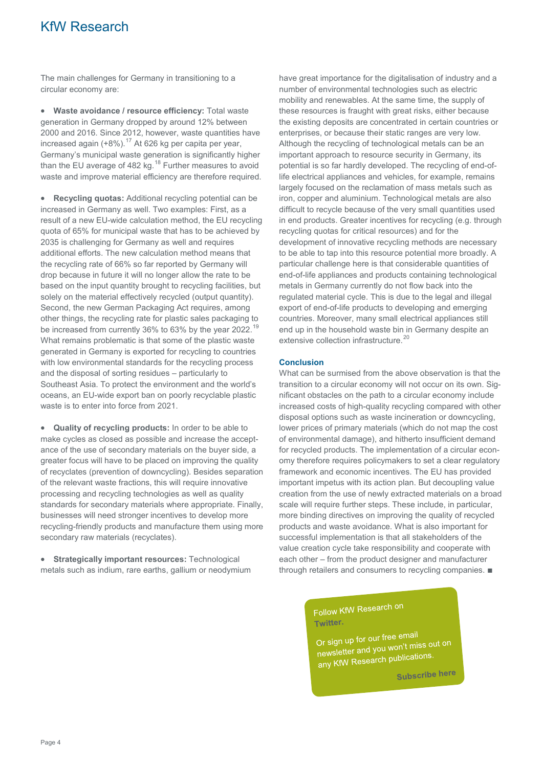### KfW Research

The main challenges for Germany in transitioning to a circular economy are:

• **Waste avoidance / resource efficiency:** Total waste generation in Germany dropped by around 12% between 2000 and 2016. Since 2012, however, waste quantities have increased again  $(+8\%)$ .<sup>[17](#page-4-16)</sup> At 626 kg per capita per year, Germany's municipal waste generation is significantly higher than the EU average of 482 kg.<sup>[18](#page-4-17)</sup> Further measures to avoid waste and improve material efficiency are therefore required.

• **Recycling quotas:** Additional recycling potential can be increased in Germany as well. Two examples: First, as a result of a new EU-wide calculation method, the EU recycling quota of 65% for municipal waste that has to be achieved by 2035 is challenging for Germany as well and requires additional efforts. The new calculation method means that the recycling rate of 66% so far reported by Germany will drop because in future it will no longer allow the rate to be based on the input quantity brought to recycling facilities, but solely on the material effectively recycled (output quantity). Second, the new German Packaging Act requires, among other things, the recycling rate for plastic sales packaging to be increased from currently 36% to 63% by the year 2022.<sup>[19](#page-4-18)</sup> What remains problematic is that some of the plastic waste generated in Germany is exported for recycling to countries with low environmental standards for the recycling process and the disposal of sorting residues – particularly to Southeast Asia. To protect the environment and the world's oceans, an EU-wide export ban on poorly recyclable plastic waste is to enter into force from 2021.

• **Quality of recycling products:** In order to be able to make cycles as closed as possible and increase the acceptance of the use of secondary materials on the buyer side, a greater focus will have to be placed on improving the quality of recyclates (prevention of downcycling). Besides separation of the relevant waste fractions, this will require innovative processing and recycling technologies as well as quality standards for secondary materials where appropriate. Finally, businesses will need stronger incentives to develop more recycling-friendly products and manufacture them using more secondary raw materials (recyclates).

• **Strategically important resources:** Technological metals such as indium, rare earths, gallium or neodymium have great importance for the digitalisation of industry and a number of environmental technologies such as electric mobility and renewables. At the same time, the supply of these resources is fraught with great risks, either because the existing deposits are concentrated in certain countries or enterprises, or because their static ranges are very low. Although the recycling of technological metals can be an important approach to resource security in Germany, its potential is so far hardly developed. The recycling of end-oflife electrical appliances and vehicles, for example, remains largely focused on the reclamation of mass metals such as iron, copper and aluminium. Technological metals are also difficult to recycle because of the very small quantities used in end products. Greater incentives for recycling (e.g. through recycling quotas for critical resources) and for the development of innovative recycling methods are necessary to be able to tap into this resource potential more broadly. A particular challenge here is that considerable quantities of end-of-life appliances and products containing technological metals in Germany currently do not flow back into the regulated material cycle. This is due to the legal and illegal export of end-of-life products to developing and emerging countries. Moreover, many small electrical appliances still end up in the household waste bin in Germany despite an extensive collection infrastructure.<sup>[20](#page-4-19)</sup>

#### **Conclusion**

What can be surmised from the above observation is that the transition to a circular economy will not occur on its own. Significant obstacles on the path to a circular economy include increased costs of high-quality recycling compared with other disposal options such as waste incineration or downcycling, lower prices of primary materials (which do not map the cost of environmental damage), and hitherto insufficient demand for recycled products. The implementation of a circular economy therefore requires policymakers to set a clear regulatory framework and economic incentives. The EU has provided important impetus with its action plan. But decoupling value creation from the use of newly extracted materials on a broad scale will require further steps. These include, in particular, more binding directives on improving the quality of recycled products and waste avoidance. What is also important for successful implementation is that all stakeholders of the value creation cycle take responsibility and cooperate with each other – from the product designer and manufacturer through retailers and consumers to recycling companies. ■

> Follow KfW Research on Twitter.

Or sign up for our free email Or sign up for our free emails<br>newsletter and you won't miss out on<br>newsletter and you won't miss out on newsletter and you won change.

**Subscribe here**